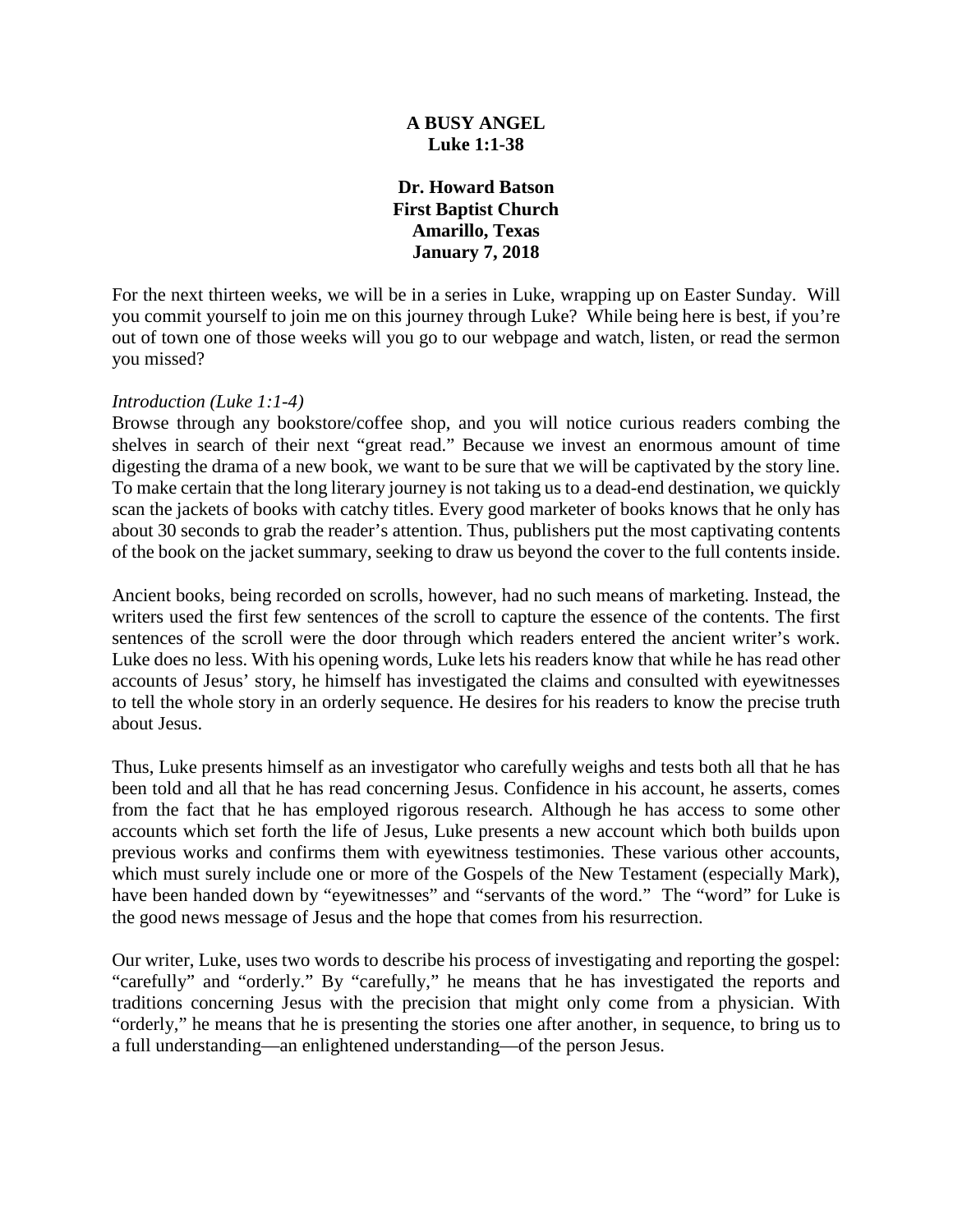## **A BUSY ANGEL Luke 1:1-38**

**Dr. Howard Batson First Baptist Church Amarillo, Texas January 7, 2018**

For the next thirteen weeks, we will be in a series in Luke, wrapping up on Easter Sunday. Will you commit yourself to join me on this journey through Luke? While being here is best, if you're out of town one of those weeks will you go to our webpage and watch, listen, or read the sermon you missed?

#### *Introduction (Luke 1:1-4)*

Browse through any bookstore/coffee shop, and you will notice curious readers combing the shelves in search of their next "great read." Because we invest an enormous amount of time digesting the drama of a new book, we want to be sure that we will be captivated by the story line. To make certain that the long literary journey is not taking us to a dead-end destination, we quickly scan the jackets of books with catchy titles. Every good marketer of books knows that he only has about 30 seconds to grab the reader's attention. Thus, publishers put the most captivating contents of the book on the jacket summary, seeking to draw us beyond the cover to the full contents inside.

Ancient books, being recorded on scrolls, however, had no such means of marketing. Instead, the writers used the first few sentences of the scroll to capture the essence of the contents. The first sentences of the scroll were the door through which readers entered the ancient writer's work. Luke does no less. With his opening words, Luke lets his readers know that while he has read other accounts of Jesus' story, he himself has investigated the claims and consulted with eyewitnesses to tell the whole story in an orderly sequence. He desires for his readers to know the precise truth about Jesus.

Thus, Luke presents himself as an investigator who carefully weighs and tests both all that he has been told and all that he has read concerning Jesus. Confidence in his account, he asserts, comes from the fact that he has employed rigorous research. Although he has access to some other accounts which set forth the life of Jesus, Luke presents a new account which both builds upon previous works and confirms them with eyewitness testimonies. These various other accounts, which must surely include one or more of the Gospels of the New Testament (especially Mark), have been handed down by "eyewitnesses" and "servants of the word." The "word" for Luke is the good news message of Jesus and the hope that comes from his resurrection.

Our writer, Luke, uses two words to describe his process of investigating and reporting the gospel: "carefully" and "orderly." By "carefully," he means that he has investigated the reports and traditions concerning Jesus with the precision that might only come from a physician. With "orderly," he means that he is presenting the stories one after another, in sequence, to bring us to a full understanding—an enlightened understanding—of the person Jesus.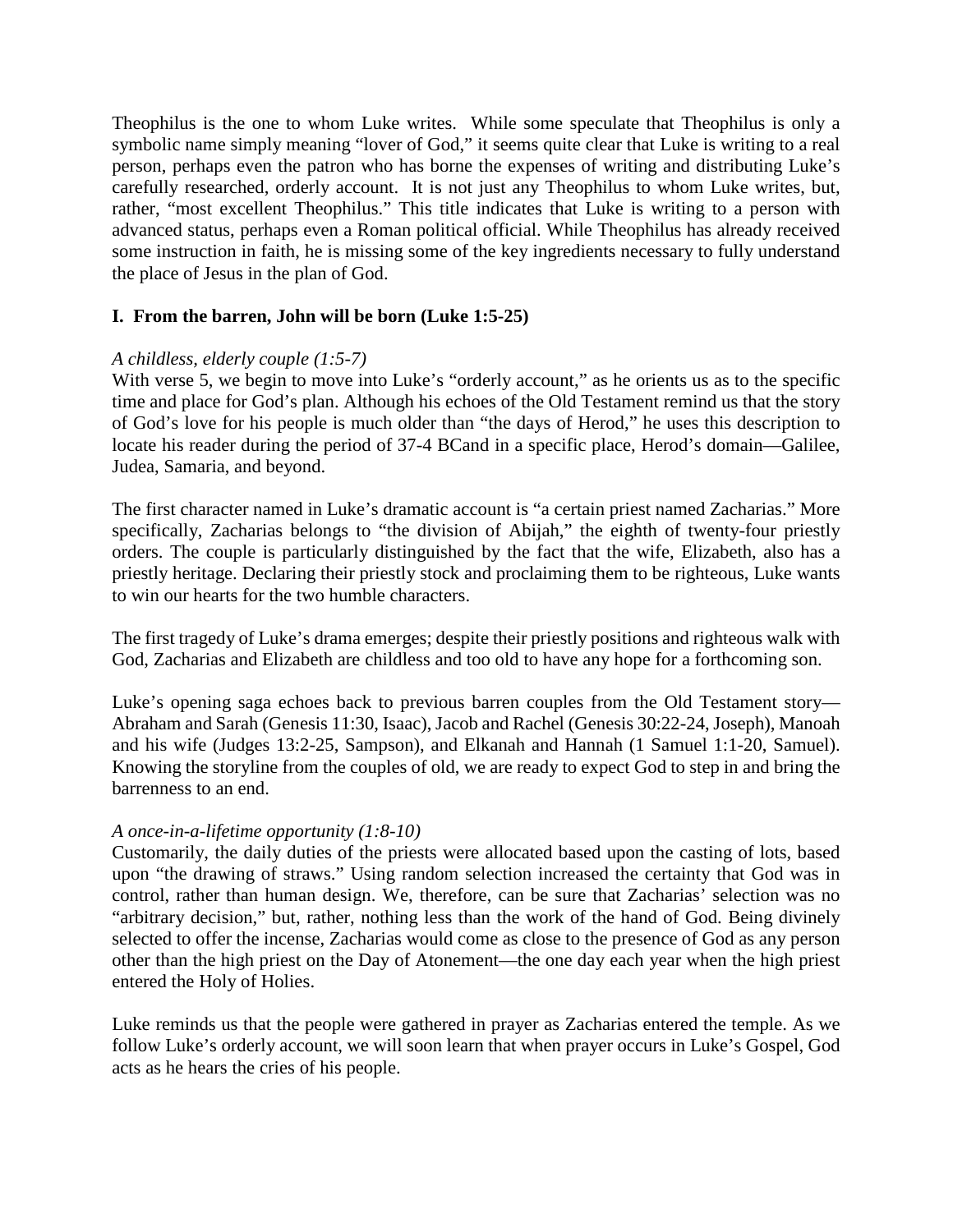Theophilus is the one to whom Luke writes. While some speculate that Theophilus is only a symbolic name simply meaning "lover of God," it seems quite clear that Luke is writing to a real person, perhaps even the patron who has borne the expenses of writing and distributing Luke's carefully researched, orderly account. It is not just any Theophilus to whom Luke writes, but, rather, "most excellent Theophilus." This title indicates that Luke is writing to a person with advanced status, perhaps even a Roman political official. While Theophilus has already received some instruction in faith, he is missing some of the key ingredients necessary to fully understand the place of Jesus in the plan of God.

## **I. From the barren, John will be born (Luke 1:5-25)**

## *A childless, elderly couple (1:5-7)*

With verse 5, we begin to move into Luke's "orderly account," as he orients us as to the specific time and place for God's plan. Although his echoes of the Old Testament remind us that the story of God's love for his people is much older than "the days of Herod," he uses this description to locate his reader during the period of 37-4 BCand in a specific place, Herod's domain—Galilee, Judea, Samaria, and beyond.

The first character named in Luke's dramatic account is "a certain priest named Zacharias." More specifically, Zacharias belongs to "the division of Abijah," the eighth of twenty-four priestly orders. The couple is particularly distinguished by the fact that the wife, Elizabeth, also has a priestly heritage. Declaring their priestly stock and proclaiming them to be righteous, Luke wants to win our hearts for the two humble characters.

The first tragedy of Luke's drama emerges; despite their priestly positions and righteous walk with God, Zacharias and Elizabeth are childless and too old to have any hope for a forthcoming son.

Luke's opening saga echoes back to previous barren couples from the Old Testament story— Abraham and Sarah (Genesis 11:30, Isaac), Jacob and Rachel (Genesis 30:22-24, Joseph), Manoah and his wife (Judges 13:2-25, Sampson), and Elkanah and Hannah (1 Samuel 1:1-20, Samuel). Knowing the storyline from the couples of old, we are ready to expect God to step in and bring the barrenness to an end.

### *A once-in-a-lifetime opportunity (1:8-10)*

Customarily, the daily duties of the priests were allocated based upon the casting of lots, based upon "the drawing of straws." Using random selection increased the certainty that God was in control, rather than human design. We, therefore, can be sure that Zacharias' selection was no "arbitrary decision," but, rather, nothing less than the work of the hand of God. Being divinely selected to offer the incense, Zacharias would come as close to the presence of God as any person other than the high priest on the Day of Atonement—the one day each year when the high priest entered the Holy of Holies.

Luke reminds us that the people were gathered in prayer as Zacharias entered the temple. As we follow Luke's orderly account, we will soon learn that when prayer occurs in Luke's Gospel, God acts as he hears the cries of his people.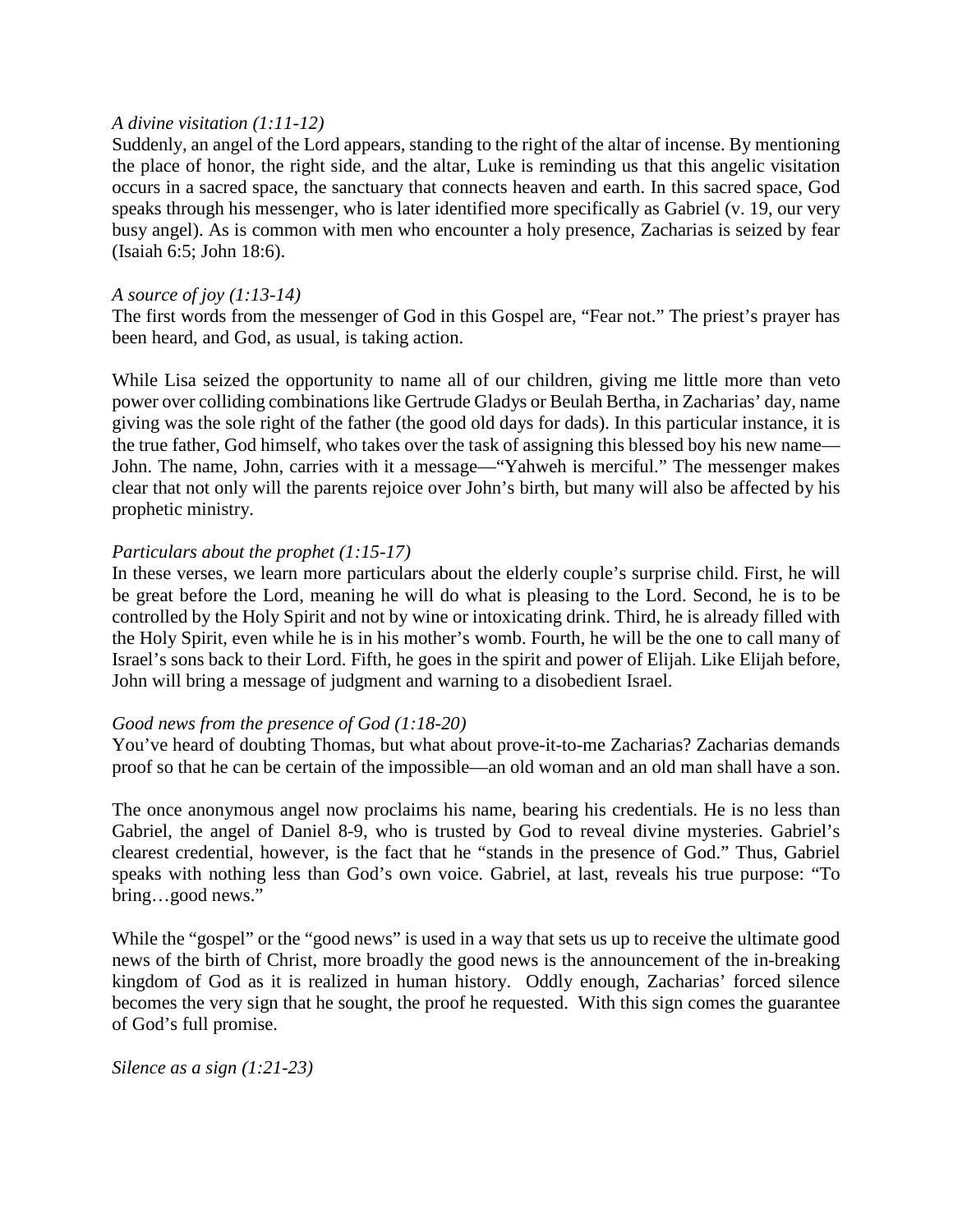### *A divine visitation (1:11-12)*

Suddenly, an angel of the Lord appears, standing to the right of the altar of incense. By mentioning the place of honor, the right side, and the altar, Luke is reminding us that this angelic visitation occurs in a sacred space, the sanctuary that connects heaven and earth. In this sacred space, God speaks through his messenger, who is later identified more specifically as Gabriel (v. 19, our very busy angel). As is common with men who encounter a holy presence, Zacharias is seized by fear (Isaiah 6:5; John 18:6).

### *A source of joy (1:13-14)*

The first words from the messenger of God in this Gospel are, "Fear not." The priest's prayer has been heard, and God, as usual, is taking action.

While Lisa seized the opportunity to name all of our children, giving me little more than veto power over colliding combinations like Gertrude Gladys or Beulah Bertha, in Zacharias' day, name giving was the sole right of the father (the good old days for dads). In this particular instance, it is the true father, God himself, who takes over the task of assigning this blessed boy his new name— John. The name, John, carries with it a message—"Yahweh is merciful." The messenger makes clear that not only will the parents rejoice over John's birth, but many will also be affected by his prophetic ministry.

### *Particulars about the prophet (1:15-17)*

In these verses, we learn more particulars about the elderly couple's surprise child. First, he will be great before the Lord, meaning he will do what is pleasing to the Lord. Second, he is to be controlled by the Holy Spirit and not by wine or intoxicating drink. Third, he is already filled with the Holy Spirit, even while he is in his mother's womb. Fourth, he will be the one to call many of Israel's sons back to their Lord. Fifth, he goes in the spirit and power of Elijah. Like Elijah before, John will bring a message of judgment and warning to a disobedient Israel.

### *Good news from the presence of God (1:18-20)*

You've heard of doubting Thomas, but what about prove-it-to-me Zacharias? Zacharias demands proof so that he can be certain of the impossible—an old woman and an old man shall have a son.

The once anonymous angel now proclaims his name, bearing his credentials. He is no less than Gabriel, the angel of Daniel 8-9, who is trusted by God to reveal divine mysteries. Gabriel's clearest credential, however, is the fact that he "stands in the presence of God." Thus, Gabriel speaks with nothing less than God's own voice. Gabriel, at last, reveals his true purpose: "To bring…good news."

While the "gospel" or the "good news" is used in a way that sets us up to receive the ultimate good news of the birth of Christ, more broadly the good news is the announcement of the in-breaking kingdom of God as it is realized in human history. Oddly enough, Zacharias' forced silence becomes the very sign that he sought, the proof he requested. With this sign comes the guarantee of God's full promise.

*Silence as a sign (1:21-23)*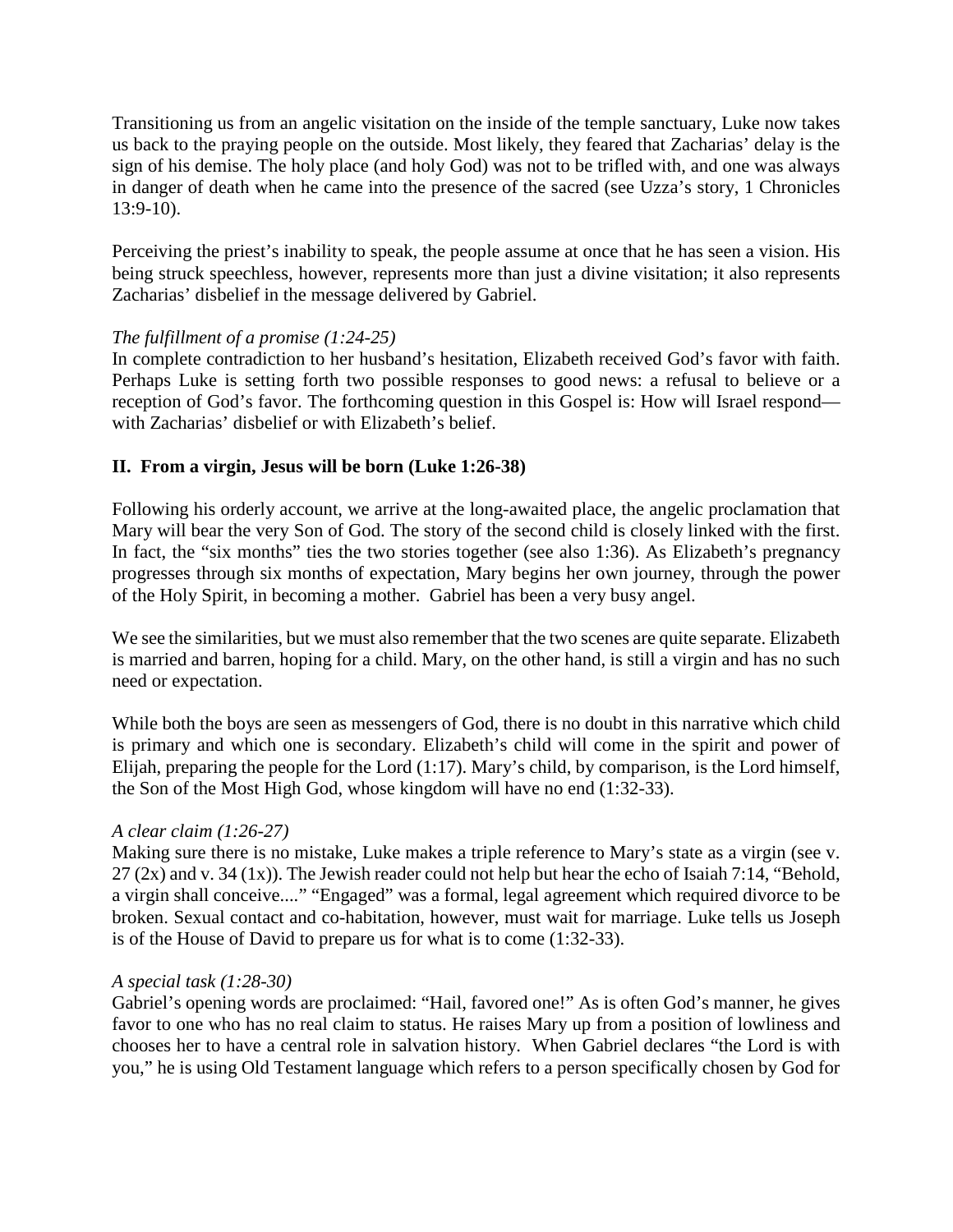Transitioning us from an angelic visitation on the inside of the temple sanctuary, Luke now takes us back to the praying people on the outside. Most likely, they feared that Zacharias' delay is the sign of his demise. The holy place (and holy God) was not to be trifled with, and one was always in danger of death when he came into the presence of the sacred (see Uzza's story, 1 Chronicles 13:9-10).

Perceiving the priest's inability to speak, the people assume at once that he has seen a vision. His being struck speechless, however, represents more than just a divine visitation; it also represents Zacharias' disbelief in the message delivered by Gabriel.

## *The fulfillment of a promise (1:24-25)*

In complete contradiction to her husband's hesitation, Elizabeth received God's favor with faith. Perhaps Luke is setting forth two possible responses to good news: a refusal to believe or a reception of God's favor. The forthcoming question in this Gospel is: How will Israel respond with Zacharias' disbelief or with Elizabeth's belief.

# **II. From a virgin, Jesus will be born (Luke 1:26-38)**

Following his orderly account, we arrive at the long-awaited place, the angelic proclamation that Mary will bear the very Son of God. The story of the second child is closely linked with the first. In fact, the "six months" ties the two stories together (see also 1:36). As Elizabeth's pregnancy progresses through six months of expectation, Mary begins her own journey, through the power of the Holy Spirit, in becoming a mother. Gabriel has been a very busy angel.

We see the similarities, but we must also remember that the two scenes are quite separate. Elizabeth is married and barren, hoping for a child. Mary, on the other hand, is still a virgin and has no such need or expectation.

While both the boys are seen as messengers of God, there is no doubt in this narrative which child is primary and which one is secondary. Elizabeth's child will come in the spirit and power of Elijah, preparing the people for the Lord (1:17). Mary's child, by comparison, is the Lord himself, the Son of the Most High God, whose kingdom will have no end (1:32-33).

## *A clear claim (1:26-27)*

Making sure there is no mistake, Luke makes a triple reference to Mary's state as a virgin (see v. 27 (2x) and v. 34 (1x)). The Jewish reader could not help but hear the echo of Isaiah 7:14, "Behold, a virgin shall conceive...." "Engaged" was a formal, legal agreement which required divorce to be broken. Sexual contact and co-habitation, however, must wait for marriage. Luke tells us Joseph is of the House of David to prepare us for what is to come (1:32-33).

### *A special task (1:28-30)*

Gabriel's opening words are proclaimed: "Hail, favored one!" As is often God's manner, he gives favor to one who has no real claim to status. He raises Mary up from a position of lowliness and chooses her to have a central role in salvation history. When Gabriel declares "the Lord is with you," he is using Old Testament language which refers to a person specifically chosen by God for